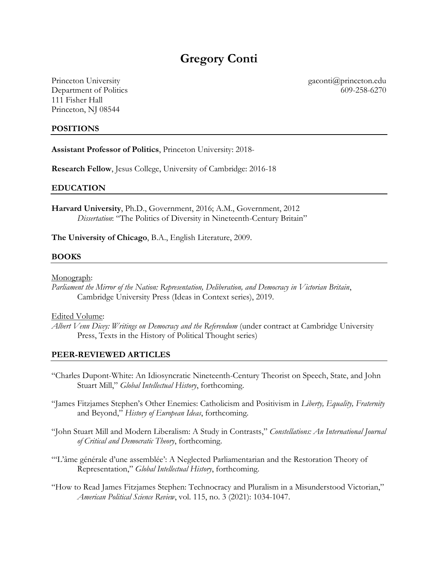# **Gregory Conti**

Princeton University Department of Politics 111 Fisher Hall Princeton, NJ 08544

gaconti@princeton.edu 609-258-6270

#### **POSITIONS**

**Assistant Professor of Politics**, Princeton University: 2018-

**Research Fellow**, Jesus College, University of Cambridge: 2016-18

#### **EDUCATION**

**Harvard University**, Ph.D., Government, 2016; A.M., Government, 2012 *Dissertation*: "The Politics of Diversity in Nineteenth-Century Britain"

**The University of Chicago**, B.A., English Literature, 2009.

#### **BOOKS**

Monograph:

*Parliament the Mirror of the Nation: Representation, Deliberation, and Democracy in Victorian Britain*, Cambridge University Press (Ideas in Context series), 2019.

Edited Volume:

*Albert Venn Dicey: Writings on Democracy and the Referendum* (under contract at Cambridge University Press, Texts in the History of Political Thought series)

#### **PEER-REVIEWED ARTICLES**

- "Charles Dupont-White: An Idiosyncratic Nineteenth-Century Theorist on Speech, State, and John Stuart Mill," *Global Intellectual History*, forthcoming.
- "James Fitzjames Stephen's Other Enemies: Catholicism and Positivism in *Liberty, Equality, Fraternity* and Beyond," *History of European Ideas*, forthcoming.
- "John Stuart Mill and Modern Liberalism: A Study in Contrasts," *Constellations: An International Journal of Critical and Democratic Theory*, forthcoming.
- "'L'âme générale d'une assemblée': A Neglected Parliamentarian and the Restoration Theory of Representation," *Global Intellectual History*, forthcoming.
- "How to Read James Fitzjames Stephen: Technocracy and Pluralism in a Misunderstood Victorian," *American Political Science Review*, vol. 115, no. 3 (2021): 1034-1047.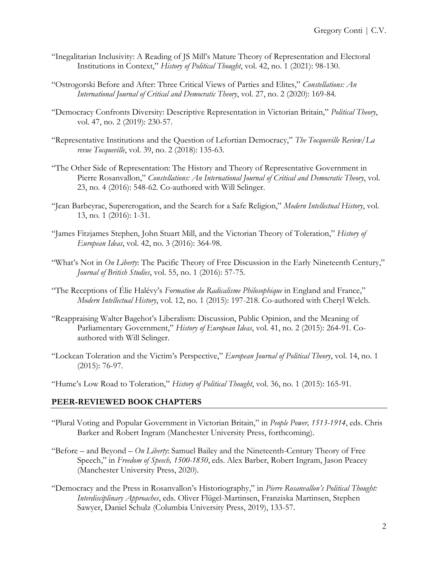- "Inegalitarian Inclusivity: A Reading of JS Mill's Mature Theory of Representation and Electoral Institutions in Context," *History of Political Thought*, vol. 42, no. 1 (2021): 98-130.
- "Ostrogorski Before and After: Three Critical Views of Parties and Elites," *Constellations: An International Journal of Critical and Democratic Theory*, vol. 27, no. 2 (2020): 169-84.
- "Democracy Confronts Diversity: Descriptive Representation in Victorian Britain," *Political Theory*, vol. 47, no. 2 (2019): 230-57.
- "Representative Institutions and the Question of Lefortian Democracy," *The Tocqueville Review/La revue Tocqueville*, vol. 39, no. 2 (2018): 135-63.
- "The Other Side of Representation: The History and Theory of Representative Government in Pierre Rosanvallon," *Constellations: An International Journal of Critical and Democratic Theory*, vol. 23, no. 4 (2016): 548-62. Co-authored with Will Selinger.
- "Jean Barbeyrac, Supererogation, and the Search for a Safe Religion," *Modern Intellectual History*, vol. 13, no. 1 (2016): 1-31.
- "James Fitzjames Stephen, John Stuart Mill, and the Victorian Theory of Toleration," *History of European Ideas*, vol. 42, no. 3 (2016): 364-98.
- "What's Not in *On Liberty*: The Pacific Theory of Free Discussion in the Early Nineteenth Century," *Journal of British Studies*, vol. 55, no. 1 (2016): 57-75.
- "The Receptions of Élie Halévy's *Formation du Radicalisme Philosophique* in England and France," *Modern Intellectual History*, vol. 12, no. 1 (2015): 197-218. Co-authored with Cheryl Welch.
- "Reappraising Walter Bagehot's Liberalism: Discussion, Public Opinion, and the Meaning of Parliamentary Government," *History of European Ideas*, vol. 41, no. 2 (2015): 264-91. Coauthored with Will Selinger.
- "Lockean Toleration and the Victim's Perspective," *European Journal of Political Theory*, vol. 14, no. 1 (2015): 76-97.

"Hume's Low Road to Toleration," *History of Political Thought*, vol. 36, no. 1 (2015): 165-91.

# **PEER-REVIEWED BOOK CHAPTERS**

- "Plural Voting and Popular Government in Victorian Britain," in *People Power, 1513-1914*, eds. Chris Barker and Robert Ingram (Manchester University Press, forthcoming).
- "Before and Beyond *On Liberty*: Samuel Bailey and the Nineteenth-Century Theory of Free Speech," in *Freedom of Speech, 1500-1850*, eds. Alex Barber, Robert Ingram, Jason Peacey (Manchester University Press, 2020).
- "Democracy and the Press in Rosanvallon's Historiography," in *Pierre Rosanvallon's Political Thought: Interdisciplinary Approaches*, eds. Oliver Flügel-Martinsen, Franziska Martinsen, Stephen Sawyer, Daniel Schulz (Columbia University Press, 2019), 133-57.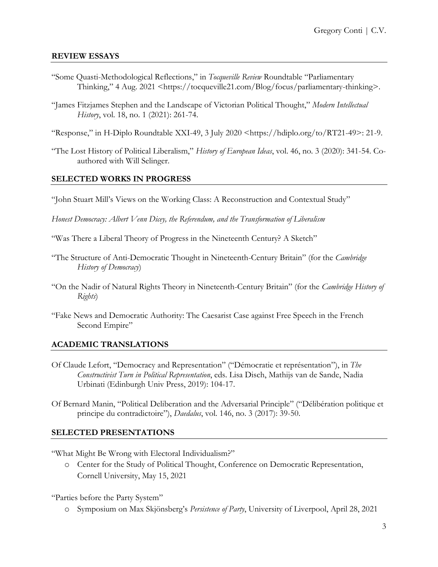# **REVIEW ESSAYS**

- "Some Quasti-Methodological Reflections," in *Tocqueville Review* Roundtable "Parliamentary Thinking," 4 Aug. 2021 <https://tocqueville21.com/Blog/focus/parliamentary-thinking>.
- "James Fitzjames Stephen and the Landscape of Victorian Political Thought," *Modern Intellectual History*, vol. 18, no. 1 (2021): 261-74.
- "Response," in H-Diplo Roundtable XXI-49, 3 July 2020 <https://hdiplo.org/to/RT21-49>: 21-9.
- "The Lost History of Political Liberalism," *History of European Ideas*, vol. 46, no. 3 (2020): 341-54. Coauthored with Will Selinger.

# **SELECTED WORKS IN PROGRESS**

"John Stuart Mill's Views on the Working Class: A Reconstruction and Contextual Study"

*Honest Democracy: Albert Venn Dicey, the Referendum, and the Transformation of Liberalism*

- "Was There a Liberal Theory of Progress in the Nineteenth Century? A Sketch"
- "The Structure of Anti-Democratic Thought in Nineteenth-Century Britain" (for the *Cambridge History of Democracy*)
- "On the Nadir of Natural Rights Theory in Nineteenth-Century Britain" (for the *Cambridge History of Rights*)
- "Fake News and Democratic Authority: The Caesarist Case against Free Speech in the French Second Empire"

# **ACADEMIC TRANSLATIONS**

- Of Claude Lefort, "Democracy and Representation" ("Démocratie et représentation"), in *The Constructivist Turn in Political Representation*, eds. Lisa Disch, Mathijs van de Sande, Nadia Urbinati (Edinburgh Univ Press, 2019): 104-17.
- Of Bernard Manin, "Political Deliberation and the Adversarial Principle" ("Délibération politique et principe du contradictoire"), *Daedalus*, vol. 146, no. 3 (2017): 39-50.

# **SELECTED PRESENTATIONS**

"What Might Be Wrong with Electoral Individualism?"

o Center for the Study of Political Thought, Conference on Democratic Representation, Cornell University, May 15, 2021

"Parties before the Party System"

o Symposium on Max Skjönsberg's *Persistence of Party*, University of Liverpool, April 28, 2021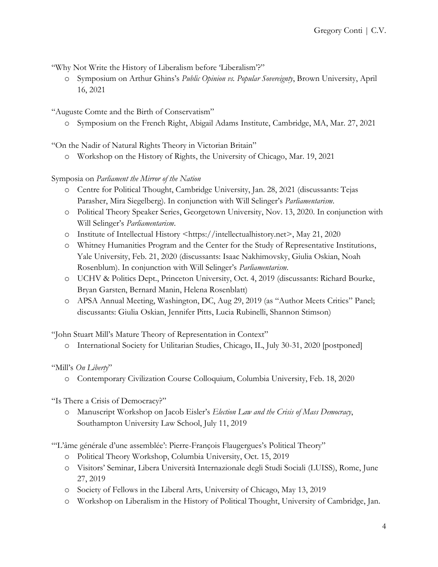"Why Not Write the History of Liberalism before 'Liberalism'?"

o Symposium on Arthur Ghins's *Public Opinion vs. Popular Sovereignty*, Brown University, April 16, 2021

"Auguste Comte and the Birth of Conservatism"

o Symposium on the French Right, Abigail Adams Institute, Cambridge, MA, Mar. 27, 2021

"On the Nadir of Natural Rights Theory in Victorian Britain"

o Workshop on the History of Rights, the University of Chicago, Mar. 19, 2021

# Symposia on *Parliament the Mirror of the Nation*

- o Centre for Political Thought, Cambridge University, Jan. 28, 2021 (discussants: Tejas Parasher, Mira Siegelberg). In conjunction with Will Selinger's *Parliamentarism*.
- o Political Theory Speaker Series, Georgetown University, Nov. 13, 2020. In conjunction with Will Selinger's *Parliamentarism*.
- o Institute of Intellectual History <https://intellectualhistory.net>, May 21, 2020
- o Whitney Humanities Program and the Center for the Study of Representative Institutions, Yale University, Feb. 21, 2020 (discussants: Isaac Nakhimovsky, Giulia Oskian, Noah Rosenblum). In conjunction with Will Selinger's *Parliamentarism*.
- o UCHV & Politics Dept., Princeton University, Oct. 4, 2019 (discussants: Richard Bourke, Bryan Garsten, Bernard Manin, Helena Rosenblatt)
- o APSA Annual Meeting, Washington, DC, Aug 29, 2019 (as "Author Meets Critics" Panel; discussants: Giulia Oskian, Jennifer Pitts, Lucia Rubinelli, Shannon Stimson)

"John Stuart Mill's Mature Theory of Representation in Context"

o International Society for Utilitarian Studies, Chicago, IL, July 30-31, 2020 [postponed]

# "Mill's *On Liberty*"

o Contemporary Civilization Course Colloquium, Columbia University, Feb. 18, 2020

"Is There a Crisis of Democracy?"

o Manuscript Workshop on Jacob Eisler's *Election Law and the Crisis of Mass Democracy*, Southampton University Law School, July 11, 2019

"'L'âme générale d'une assemblée': Pierre-François Flaugergues's Political Theory"

- o Political Theory Workshop, Columbia University, Oct. 15, 2019
- o Visitors' Seminar, Libera Università Internazionale degli Studi Sociali (LUISS), Rome, June 27, 2019
- o Society of Fellows in the Liberal Arts, University of Chicago, May 13, 2019
- o Workshop on Liberalism in the History of Political Thought, University of Cambridge, Jan.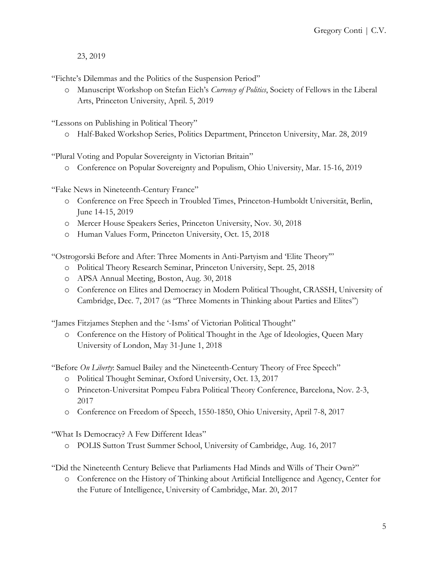23, 2019

"Fichte's Dilemmas and the Politics of the Suspension Period"

o Manuscript Workshop on Stefan Eich's *Currency of Politics*, Society of Fellows in the Liberal Arts, Princeton University, April. 5, 2019

"Lessons on Publishing in Political Theory"

o Half-Baked Workshop Series, Politics Department, Princeton University, Mar. 28, 2019

"Plural Voting and Popular Sovereignty in Victorian Britain"

o Conference on Popular Sovereignty and Populism, Ohio University, Mar. 15-16, 2019

"Fake News in Nineteenth-Century France"

- o Conference on Free Speech in Troubled Times, Princeton-Humboldt Universität, Berlin, June 14-15, 2019
- o Mercer House Speakers Series, Princeton University, Nov. 30, 2018
- o Human Values Form, Princeton University, Oct. 15, 2018

"Ostrogorski Before and After: Three Moments in Anti-Partyism and 'Elite Theory'"

- o Political Theory Research Seminar, Princeton University, Sept. 25, 2018
- o APSA Annual Meeting, Boston, Aug. 30, 2018
- o Conference on Elites and Democracy in Modern Political Thought, CRASSH, University of Cambridge, Dec. 7, 2017 (as "Three Moments in Thinking about Parties and Elites")

"James Fitzjames Stephen and the '-Isms' of Victorian Political Thought"

o Conference on the History of Political Thought in the Age of Ideologies, Queen Mary University of London, May 31-June 1, 2018

"Before *On Liberty*: Samuel Bailey and the Nineteenth-Century Theory of Free Speech"

- o Political Thought Seminar, Oxford University, Oct. 13, 2017
- o Princeton-Universitat Pompeu Fabra Political Theory Conference, Barcelona, Nov. 2-3, 2017
- o Conference on Freedom of Speech, 1550-1850, Ohio University, April 7-8, 2017

"What Is Democracy? A Few Different Ideas"

o POLIS Sutton Trust Summer School, University of Cambridge, Aug. 16, 2017

"Did the Nineteenth Century Believe that Parliaments Had Minds and Wills of Their Own?"

o Conference on the History of Thinking about Artificial Intelligence and Agency, Center for the Future of Intelligence, University of Cambridge, Mar. 20, 2017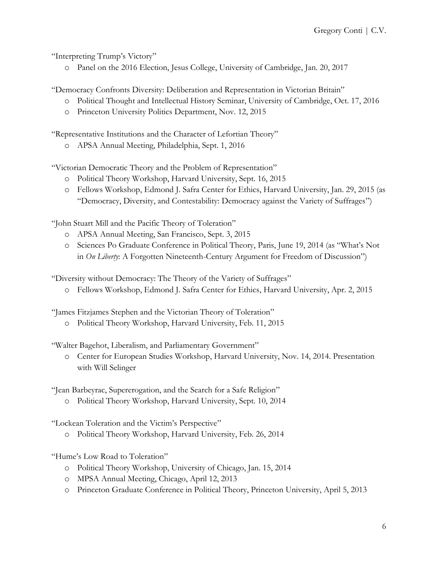"Interpreting Trump's Victory"

o Panel on the 2016 Election, Jesus College, University of Cambridge, Jan. 20, 2017

"Democracy Confronts Diversity: Deliberation and Representation in Victorian Britain"

- o Political Thought and Intellectual History Seminar, University of Cambridge, Oct. 17, 2016
- o Princeton University Politics Department, Nov. 12, 2015

"Representative Institutions and the Character of Lefortian Theory"

o APSA Annual Meeting, Philadelphia, Sept. 1, 2016

"Victorian Democratic Theory and the Problem of Representation"

- o Political Theory Workshop, Harvard University, Sept. 16, 2015
- o Fellows Workshop, Edmond J. Safra Center for Ethics, Harvard University, Jan. 29, 2015 (as "Democracy, Diversity, and Contestability: Democracy against the Variety of Suffrages")

"John Stuart Mill and the Pacific Theory of Toleration"

- o APSA Annual Meeting, San Francisco, Sept. 3, 2015
- o Sciences Po Graduate Conference in Political Theory, Paris, June 19, 2014 (as "What's Not in *On Liberty*: A Forgotten Nineteenth-Century Argument for Freedom of Discussion")

"Diversity without Democracy: The Theory of the Variety of Suffrages"

o Fellows Workshop, Edmond J. Safra Center for Ethics, Harvard University, Apr. 2, 2015

"James Fitzjames Stephen and the Victorian Theory of Toleration"

o Political Theory Workshop, Harvard University, Feb. 11, 2015

"Walter Bagehot, Liberalism, and Parliamentary Government"

o Center for European Studies Workshop, Harvard University, Nov. 14, 2014. Presentation with Will Selinger

"Jean Barbeyrac, Supererogation, and the Search for a Safe Religion"

o Political Theory Workshop, Harvard University, Sept. 10, 2014

"Lockean Toleration and the Victim's Perspective"

o Political Theory Workshop, Harvard University, Feb. 26, 2014

"Hume's Low Road to Toleration"

- o Political Theory Workshop, University of Chicago, Jan. 15, 2014
- o MPSA Annual Meeting, Chicago, April 12, 2013
- o Princeton Graduate Conference in Political Theory, Princeton University, April 5, 2013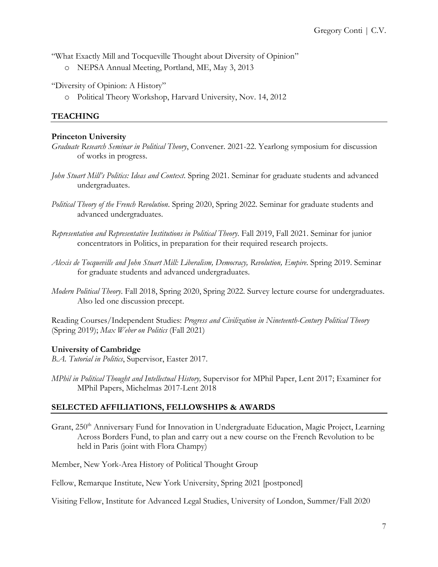"What Exactly Mill and Tocqueville Thought about Diversity of Opinion"

o NEPSA Annual Meeting, Portland, ME, May 3, 2013

"Diversity of Opinion: A History"

o Political Theory Workshop, Harvard University, Nov. 14, 2012

# **TEACHING**

### **Princeton University**

- *Graduate Research Seminar in Political Theory*, Convener. 2021-22. Yearlong symposium for discussion of works in progress.
- *John Stuart Mill's Politics: Ideas and Context*. Spring 2021. Seminar for graduate students and advanced undergraduates.
- *Political Theory of the French Revolution*. Spring 2020, Spring 2022. Seminar for graduate students and advanced undergraduates.
- *Representation and Representative Institutions in Political Theory*. Fall 2019, Fall 2021. Seminar for junior concentrators in Politics, in preparation for their required research projects.
- *Alexis de Tocqueville and John Stuart Mill: Liberalism, Democracy, Revolution, Empire*. Spring 2019. Seminar for graduate students and advanced undergraduates.
- *Modern Political Theory*. Fall 2018, Spring 2020, Spring 2022. Survey lecture course for undergraduates. Also led one discussion precept.

Reading Courses/Independent Studies: *Progress and Civilization in Nineteenth-Century Political Theory* (Spring 2019); *Max Weber on Politics* (Fall 2021)

# **University of Cambridge**

*B.A. Tutorial in Politics*, Supervisor, Easter 2017.

*MPhil in Political Thought and Intellectual History,* Supervisor for MPhil Paper, Lent 2017; Examiner for MPhil Papers, Michelmas 2017-Lent 2018

# **SELECTED AFFILIATIONS, FELLOWSHIPS & AWARDS**

Grant, 250<sup>th</sup> Anniversary Fund for Innovation in Undergraduate Education, Magic Project, Learning Across Borders Fund, to plan and carry out a new course on the French Revolution to be held in Paris (joint with Flora Champy)

Member, New York-Area History of Political Thought Group

Fellow, Remarque Institute, New York University, Spring 2021 [postponed]

Visiting Fellow, Institute for Advanced Legal Studies, University of London, Summer/Fall 2020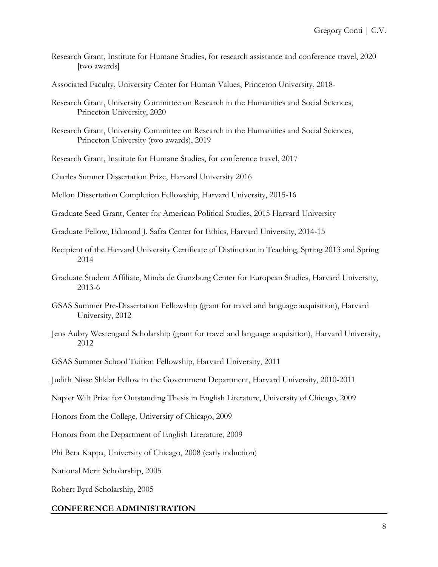- Research Grant, Institute for Humane Studies, for research assistance and conference travel, 2020 [two awards]
- Associated Faculty, University Center for Human Values, Princeton University, 2018-
- Research Grant, University Committee on Research in the Humanities and Social Sciences, Princeton University, 2020
- Research Grant, University Committee on Research in the Humanities and Social Sciences, Princeton University (two awards), 2019
- Research Grant, Institute for Humane Studies, for conference travel, 2017
- Charles Sumner Dissertation Prize, Harvard University 2016
- Mellon Dissertation Completion Fellowship, Harvard University, 2015-16
- Graduate Seed Grant, Center for American Political Studies, 2015 Harvard University
- Graduate Fellow, Edmond J. Safra Center for Ethics, Harvard University, 2014-15
- Recipient of the Harvard University Certificate of Distinction in Teaching, Spring 2013 and Spring 2014
- Graduate Student Affiliate, Minda de Gunzburg Center for European Studies, Harvard University, 2013-6
- GSAS Summer Pre-Dissertation Fellowship (grant for travel and language acquisition), Harvard University, 2012
- Jens Aubry Westengard Scholarship (grant for travel and language acquisition), Harvard University, 2012
- GSAS Summer School Tuition Fellowship, Harvard University, 2011
- Judith Nisse Shklar Fellow in the Government Department, Harvard University, 2010-2011
- Napier Wilt Prize for Outstanding Thesis in English Literature, University of Chicago, 2009
- Honors from the College, University of Chicago, 2009
- Honors from the Department of English Literature, 2009
- Phi Beta Kappa, University of Chicago, 2008 (early induction)

National Merit Scholarship, 2005

Robert Byrd Scholarship, 2005

# **CONFERENCE ADMINISTRATION**